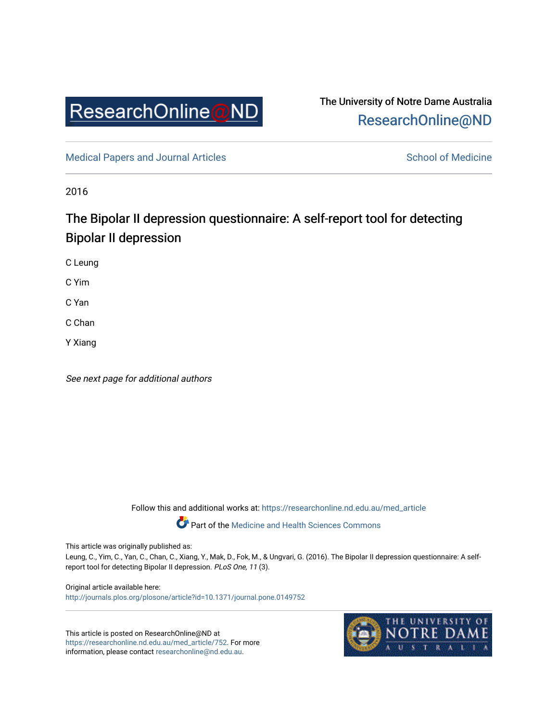

# The University of Notre Dame Australia [ResearchOnline@ND](https://researchonline.nd.edu.au/)

[Medical Papers and Journal Articles](https://researchonline.nd.edu.au/med_article) and School of Medicine

2016

# The Bipolar II depression questionnaire: A self-report tool for detecting Bipolar II depression

C Leung

C Yim

C Yan

C Chan

Y Xiang

See next page for additional authors

Follow this and additional works at: [https://researchonline.nd.edu.au/med\\_article](https://researchonline.nd.edu.au/med_article?utm_source=researchonline.nd.edu.au%2Fmed_article%2F752&utm_medium=PDF&utm_campaign=PDFCoverPages) 

Part of the [Medicine and Health Sciences Commons](http://network.bepress.com/hgg/discipline/648?utm_source=researchonline.nd.edu.au%2Fmed_article%2F752&utm_medium=PDF&utm_campaign=PDFCoverPages)

This article was originally published as:

Leung, C., Yim, C., Yan, C., Chan, C., Xiang, Y., Mak, D., Fok, M., & Ungvari, G. (2016). The Bipolar II depression questionnaire: A selfreport tool for detecting Bipolar II depression. PLoS One, 11 (3).

Original article available here: <http://journals.plos.org/plosone/article?id=10.1371/journal.pone.0149752>

This article is posted on ResearchOnline@ND at [https://researchonline.nd.edu.au/med\\_article/752](https://researchonline.nd.edu.au/med_article/752). For more information, please contact [researchonline@nd.edu.au.](mailto:researchonline@nd.edu.au)

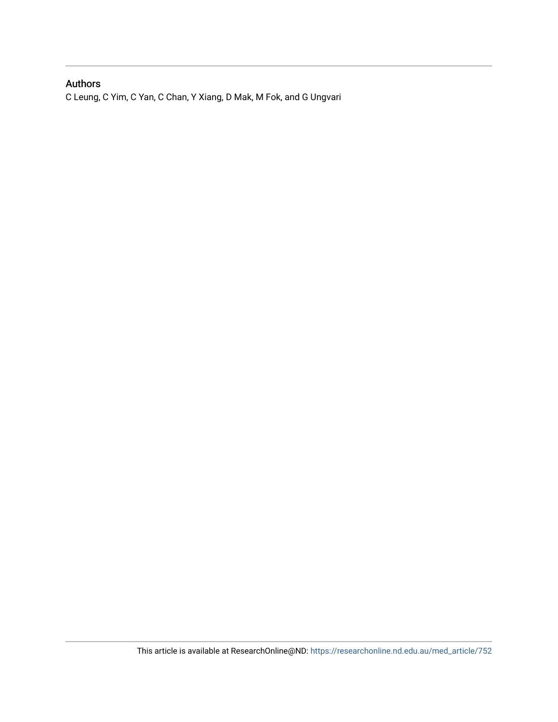# Authors

C Leung, C Yim, C Yan, C Chan, Y Xiang, D Mak, M Fok, and G Ungvari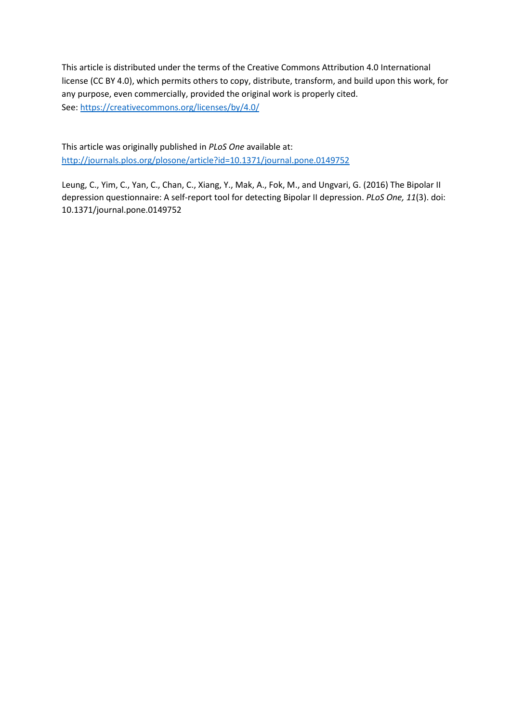This article is distributed under the terms of the Creative Commons Attribution 4.0 International license (CC BY 4.0), which permits others to copy, distribute, transform, and build upon this work, for any purpose, even commercially, provided the original work is properly cited. See[: https://creativecommons.org/licenses/by/4.0/](https://creativecommons.org/licenses/by/4.0/)

This article was originally published in *PLoS One* available at: <http://journals.plos.org/plosone/article?id=10.1371/journal.pone.0149752>

Leung, C., Yim, C., Yan, C., Chan, C., Xiang, Y., Mak, A., Fok, M., and Ungvari, G. (2016) The Bipolar II depression questionnaire: A self-report tool for detecting Bipolar II depression. *PLoS One, 11*(3). doi: 10.1371/journal.pone.0149752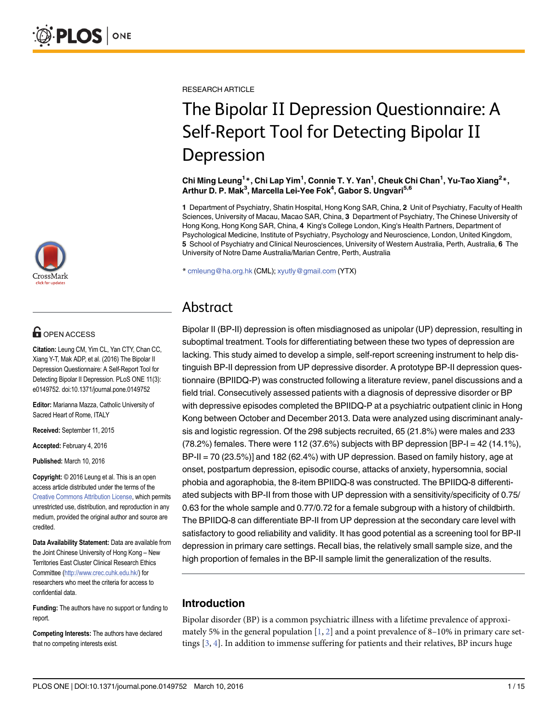

# **G** OPEN ACCESS

Citation: Leung CM, Yim CL, Yan CTY, Chan CC, Xiang Y-T, Mak ADP, et al. (2016) The Bipolar II Depression Questionnaire: A Self-Report Tool for Detecting Bipolar II Depression. PLoS ONE 11(3): e0149752. doi:10.1371/journal.pone.0149752

Editor: Marianna Mazza, Catholic University of Sacred Heart of Rome, ITALY

Received: September 11, 2015

Accepted: February 4, 2016

Published: March 10, 2016

Copyright: © 2016 Leung et al. This is an open access article distributed under the terms of the [Creative Commons Attribution License,](http://creativecommons.org/licenses/by/4.0/) which permits unrestricted use, distribution, and reproduction in any medium, provided the original author and source are credited.

Data Availability Statement: Data are available from the Joint Chinese University of Hong Kong – New Territories East Cluster Clinical Research Ethics Committee ([http://www.crec.cuhk.edu.hk/\)](http://www.crec.cuhk.edu.hk/) for researchers who meet the criteria for access to confidential data.

Funding: The authors have no support or funding to report.

Competing Interests: The authors have declared that no competing interests exist.

<span id="page-3-0"></span>RESEARCH ARTICLE

# The Bipolar II Depression Questionnaire: A **Depression**

Chi Ming Leung<sup>1</sup>\*, Chi Lap Yim<sup>1</sup>, Connie T. Y. Yan<sup>1</sup>, Cheuk Chi Chan<sup>1</sup>, Yu-Tao Xiang<sup>2</sup>\*, Arthur D. P. Mak<sup>3</sup>, Marcella Lei-Yee Fok<sup>4</sup>, Gabor S. Ungvari<sup>5,6</sup>

1 Department of Psychiatry, Shatin Hospital, Hong Kong SAR, China, 2 Unit of Psychiatry, Faculty of Health Sciences, University of Macau, Macao SAR, China, 3 Department of Psychiatry, The Chinese University of Hong Kong, Hong Kong SAR, China, 4 King's College London, King's Health Partners, Department of Psychological Medicine, Institute of Psychiatry, Psychology and Neuroscience, London, United Kingdom, 5 School of Psychiatry and Clinical Neurosciences, University of Western Australia, Perth, Australia, 6 The University of Notre Dame Australia/Marian Centre, Perth, Australia

\* cmleung@ha.org.hk (CML); xyutly@gmail.com (YTX)

# Abstract

abstract<br>Abstract Bipolar II (BP-II) depression is often misdiagnosed as unipolar (UP) depression, resulting in suboptimal treatment. Tools for differentiating between these two types of depression are lacking. This study aimed to develop a simple, self-report screening instrument to help distinguish BP-II depression from UP depressive disorder. A prototype BP-II depression questionnaire (BPIIDQ-P) was constructed following a literature review, panel discussions and a field trial. Consecutively assessed patients with a diagnosis of depressive disorder or BP with depressive episodes completed the BPIIDQ-P at a psychiatric outpatient clinic in Hong Kong between October and December 2013. Data were analyzed using discriminant analysis and logistic regression. Of the 298 subjects recruited, 65 (21.8%) were males and 233 (78.2%) females. There were 112 (37.6%) subjects with BP depression  $[BP-I = 42 (14.1\%)$ , BP-II = 70 (23.5%)] and 182 (62.4%) with UP depression. Based on family history, age at onset, postpartum depression, episodic course, attacks of anxiety, hypersomnia, social phobia and agoraphobia, the 8-item BPIIDQ-8 was constructed. The BPIIDQ-8 differentiated subjects with BP-II from those with UP depression with a sensitivity/specificity of 0.75/ 0.63 for the whole sample and 0.77/0.72 for a female subgroup with a history of childbirth. The BPIIDQ-8 can differentiate BP-II from UP depression at the secondary care level with satisfactory to good reliability and validity. It has good potential as a screening tool for BP-II depression in primary care settings. Recall bias, the relatively small sample size, and the high proportion of females in the BP-II sample limit the generalization of the results.

# Introduction

Bipolar disorder (BP) is a common psychiatric illness with a lifetime prevalence of approximately 5% in the general population  $[1, 2]$  $[1, 2]$  $[1, 2]$  $[1, 2]$  and a point prevalence of 8–10% in primary care settings  $[3, 4]$  $[3, 4]$  $[3, 4]$  $[3, 4]$ . In addition to immense suffering for patients and their relatives, BP incurs huge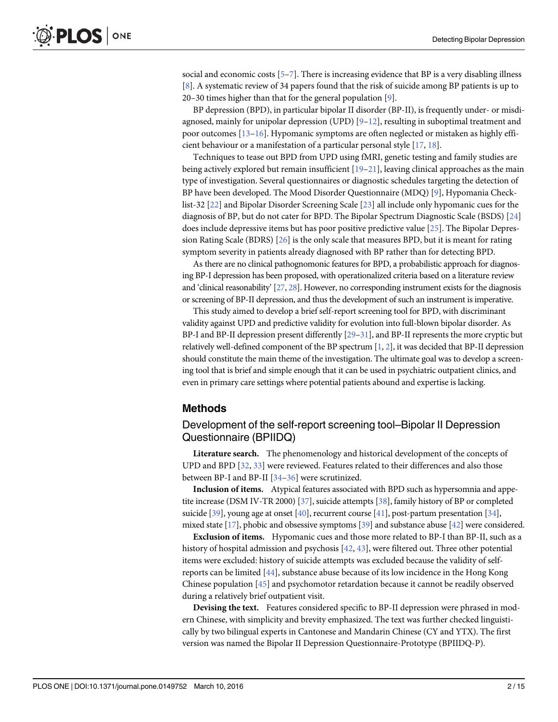<span id="page-4-0"></span>social and economic costs [[5](#page-14-0)–[7](#page-14-0)]. There is increasing evidence that BP is a very disabling illness [\[8](#page-14-0)]. A systematic review of 34 papers found that the risk of suicide among BP patients is up to 20–30 times higher than that for the general population  $[9]$  $[9]$ .

BP depression (BPD), in particular bipolar II disorder (BP-II), is frequently under- or misdiagnosed, mainly for unipolar depression (UPD)  $[9-12]$  $[9-12]$  $[9-12]$ , resulting in suboptimal treatment and poor outcomes  $[13-16]$  $[13-16]$  $[13-16]$  $[13-16]$ . Hypomanic symptoms are often neglected or mistaken as highly efficient behaviour or a manifestation of a particular personal style  $[17, 18]$  $[17, 18]$  $[17, 18]$  $[17, 18]$  $[17, 18]$ .

Techniques to tease out BPD from UPD using fMRI, genetic testing and family studies are being actively explored but remain insufficient  $[19–21]$  $[19–21]$  $[19–21]$ , leaving clinical approaches as the main type of investigation. Several questionnaires or diagnostic schedules targeting the detection of BP have been developed. The Mood Disorder Questionnaire (MDQ) [[9](#page-14-0)], Hypomania Checklist-32 [[22](#page-14-0)] and Bipolar Disorder Screening Scale [\[23](#page-15-0)] all include only hypomanic cues for the diagnosis of BP, but do not cater for BPD. The Bipolar Spectrum Diagnostic Scale (BSDS) [\[24\]](#page-15-0) does include depressive items but has poor positive predictive value [\[25\]](#page-15-0). The Bipolar Depression Rating Scale (BDRS) [[26](#page-15-0)] is the only scale that measures BPD, but it is meant for rating symptom severity in patients already diagnosed with BP rather than for detecting BPD.

As there are no clinical pathognomonic features for BPD, a probabilistic approach for diagnosing BP-I depression has been proposed, with operationalized criteria based on a literature review and 'clinical reasonability' [\[27,](#page-15-0) [28\]](#page-15-0). However, no corresponding instrument exists for the diagnosis or screening of BP-II depression, and thus the development of such an instrument is imperative.

This study aimed to develop a brief self-report screening tool for BPD, with discriminant validity against UPD and predictive validity for evolution into full-blown bipolar disorder. As BP-I and BP-II depression present differently [[29](#page-15-0)–[31\]](#page-15-0), and BP-II represents the more cryptic but relatively well-defined component of the BP spectrum  $[1, 2]$  $[1, 2]$  $[1, 2]$ , it was decided that BP-II depression should constitute the main theme of the investigation. The ultimate goal was to develop a screening tool that is brief and simple enough that it can be used in psychiatric outpatient clinics, and even in primary care settings where potential patients abound and expertise is lacking.

#### Methods

## Development of the self-report screening tool–Bipolar II Depression Questionnaire (BPIIDQ)

Literature search. The phenomenology and historical development of the concepts of UPD and BPD [\[32,](#page-15-0) [33\]](#page-15-0) were reviewed. Features related to their differences and also those between BP-I and BP-II [\[34](#page-15-0)–[36](#page-15-0)] were scrutinized.

Inclusion of items. Atypical features associated with BPD such as hypersomnia and appetite increase (DSM IV-TR 2000) [[37](#page-15-0)], suicide attempts [\[38\]](#page-15-0), family history of BP or completed suicide [\[39\]](#page-15-0), young age at onset [[40](#page-15-0)], recurrent course [\[41](#page-15-0)], post-partum presentation [\[34\]](#page-15-0), mixed state  $[17]$  $[17]$  $[17]$ , phobic and obsessive symptoms  $[39]$  $[39]$  and substance abuse  $[42]$  $[42]$  $[42]$  were considered.

Exclusion of items. Hypomanic cues and those more related to BP-I than BP-II, such as a history of hospital admission and psychosis [[42](#page-15-0), [43](#page-15-0)], were filtered out. Three other potential items were excluded: history of suicide attempts was excluded because the validity of selfreports can be limited [[44\]](#page-16-0), substance abuse because of its low incidence in the Hong Kong Chinese population [\[45\]](#page-16-0) and psychomotor retardation because it cannot be readily observed during a relatively brief outpatient visit.

Devising the text. Features considered specific to BP-II depression were phrased in modern Chinese, with simplicity and brevity emphasized. The text was further checked linguistically by two bilingual experts in Cantonese and Mandarin Chinese (CY and YTX). The first version was named the Bipolar II Depression Questionnaire-Prototype (BPIIDQ-P).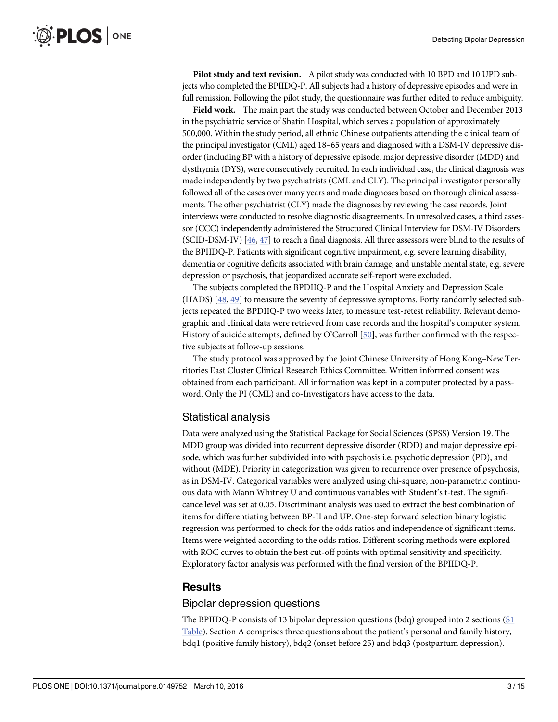<span id="page-5-0"></span>Pilot study and text revision. A pilot study was conducted with 10 BPD and 10 UPD subjects who completed the BPIIDQ-P. All subjects had a history of depressive episodes and were in full remission. Following the pilot study, the questionnaire was further edited to reduce ambiguity.

Field work. The main part the study was conducted between October and December 2013 in the psychiatric service of Shatin Hospital, which serves a population of approximately 500,000. Within the study period, all ethnic Chinese outpatients attending the clinical team of the principal investigator (CML) aged 18–65 years and diagnosed with a DSM-IV depressive disorder (including BP with a history of depressive episode, major depressive disorder (MDD) and dysthymia (DYS), were consecutively recruited. In each individual case, the clinical diagnosis was made independently by two psychiatrists (CML and CLY). The principal investigator personally followed all of the cases over many years and made diagnoses based on thorough clinical assessments. The other psychiatrist (CLY) made the diagnoses by reviewing the case records. Joint interviews were conducted to resolve diagnostic disagreements. In unresolved cases, a third assessor (CCC) independently administered the Structured Clinical Interview for DSM-IV Disorders (SCID-DSM-IV)  $[46, 47]$  $[46, 47]$  $[46, 47]$  $[46, 47]$  to reach a final diagnosis. All three assessors were blind to the results of the BPIIDQ-P. Patients with significant cognitive impairment, e.g. severe learning disability, dementia or cognitive deficits associated with brain damage, and unstable mental state, e.g. severe depression or psychosis, that jeopardized accurate self-report were excluded.

The subjects completed the BPDIIQ-P and the Hospital Anxiety and Depression Scale (HADS) [[48,](#page-16-0) [49\]](#page-16-0) to measure the severity of depressive symptoms. Forty randomly selected subjects repeated the BPDIIQ-P two weeks later, to measure test-retest reliability. Relevant demographic and clinical data were retrieved from case records and the hospital's computer system. History of suicide attempts, defined by O'Carroll [\[50](#page-16-0)], was further confirmed with the respective subjects at follow-up sessions.

The study protocol was approved by the Joint Chinese University of Hong Kong–New Territories East Cluster Clinical Research Ethics Committee. Written informed consent was obtained from each participant. All information was kept in a computer protected by a password. Only the PI (CML) and co-Investigators have access to the data.

#### Statistical analysis

Data were analyzed using the Statistical Package for Social Sciences (SPSS) Version 19. The MDD group was divided into recurrent depressive disorder (RDD) and major depressive episode, which was further subdivided into with psychosis i.e. psychotic depression (PD), and without (MDE). Priority in categorization was given to recurrence over presence of psychosis, as in DSM-IV. Categorical variables were analyzed using chi-square, non-parametric continuous data with Mann Whitney U and continuous variables with Student's t-test. The significance level was set at 0.05. Discriminant analysis was used to extract the best combination of items for differentiating between BP-II and UP. One-step forward selection binary logistic regression was performed to check for the odds ratios and independence of significant items. Items were weighted according to the odds ratios. Different scoring methods were explored with ROC curves to obtain the best cut-off points with optimal sensitivity and specificity. Exploratory factor analysis was performed with the final version of the BPIIDQ-P.

#### **Results**

#### Bipolar depression questions

The BPIIDQ-P consists of 13 bipolar depression questions (bdq) grouped into 2 sections [\(S1](#page-13-0) [Table](#page-13-0)). Section A comprises three questions about the patient's personal and family history, bdq1 (positive family history), bdq2 (onset before 25) and bdq3 (postpartum depression).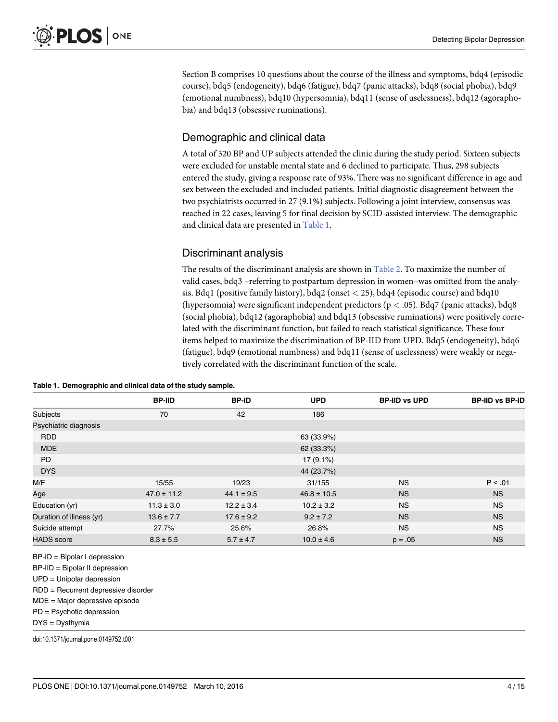<span id="page-6-0"></span>Section B comprises 10 questions about the course of the illness and symptoms, bdq4 (episodic course), bdq5 (endogeneity), bdq6 (fatigue), bdq7 (panic attacks), bdq8 (social phobia), bdq9 (emotional numbness), bdq10 (hypersomnia), bdq11 (sense of uselessness), bdq12 (agoraphobia) and bdq13 (obsessive ruminations).

# Demographic and clinical data

A total of 320 BP and UP subjects attended the clinic during the study period. Sixteen subjects were excluded for unstable mental state and 6 declined to participate. Thus, 298 subjects entered the study, giving a response rate of 93%. There was no significant difference in age and sex between the excluded and included patients. Initial diagnostic disagreement between the two psychiatrists occurred in 27 (9.1%) subjects. Following a joint interview, consensus was reached in 22 cases, leaving 5 for final decision by SCID-assisted interview. The demographic and clinical data are presented in Table 1.

# Discriminant analysis

The results of the discriminant analysis are shown in [Table 2](#page-7-0). To maximize the number of valid cases, bdq3 –referring to postpartum depression in women–was omitted from the analysis. Bdq1 (positive family history),  $bdq2$  (onset  $\lt 25$ ),  $bdq4$  (episodic course) and  $bdq10$ (hypersomnia) were significant independent predictors ( $p < .05$ ). Bdq7 (panic attacks), bdq8 (social phobia), bdq12 (agoraphobia) and bdq13 (obsessive ruminations) were positively correlated with the discriminant function, but failed to reach statistical significance. These four items helped to maximize the discrimination of BP-IID from UPD. Bdq5 (endogeneity), bdq6 (fatigue), bdq9 (emotional numbness) and bdq11 (sense of uselessness) were weakly or negatively correlated with the discriminant function of the scale.

|  |  |  | Table 1. Demographic and clinical data of the study sample. |
|--|--|--|-------------------------------------------------------------|
|--|--|--|-------------------------------------------------------------|

|                          | <b>BP-IID</b>   | <b>BP-ID</b>   | <b>UPD</b>      | <b>BP-IID vs UPD</b> | <b>BP-IID vs BP-ID</b> |
|--------------------------|-----------------|----------------|-----------------|----------------------|------------------------|
| Subjects                 | 70              | 42             | 186             |                      |                        |
| Psychiatric diagnosis    |                 |                |                 |                      |                        |
| <b>RDD</b>               |                 |                | 63 (33.9%)      |                      |                        |
| <b>MDE</b>               |                 |                | 62 (33.3%)      |                      |                        |
| <b>PD</b>                |                 |                | $17(9.1\%)$     |                      |                        |
| <b>DYS</b>               |                 |                | 44 (23.7%)      |                      |                        |
| M/F                      | 15/55           | 19/23          | 31/155          | <b>NS</b>            | P < .01                |
| Age                      | $47.0 \pm 11.2$ | $44.1 \pm 9.5$ | $46.8 \pm 10.5$ | <b>NS</b>            | <b>NS</b>              |
| Education (yr)           | $11.3 \pm 3.0$  | $12.2 \pm 3.4$ | $10.2 \pm 3.2$  | <b>NS</b>            | <b>NS</b>              |
| Duration of illness (yr) | $13.6 \pm 7.7$  | $17.6 \pm 9.2$ | $9.2 \pm 7.2$   | <b>NS</b>            | <b>NS</b>              |
| Suicide attempt          | 27.7%           | 25.6%          | 26.8%           | <b>NS</b>            | <b>NS</b>              |
| <b>HADS</b> score        | $8.3 \pm 5.5$   | $5.7 \pm 4.7$  | $10.0 \pm 4.6$  | $p = .05$            | <b>NS</b>              |

BP-ID = Bipolar I depression

BP-IID = Bipolar II depression

UPD = Unipolar depression

RDD = Recurrent depressive disorder

MDE = Major depressive episode

PD = Psychotic depression

DYS = Dysthymia

doi:10.1371/journal.pone.0149752.t001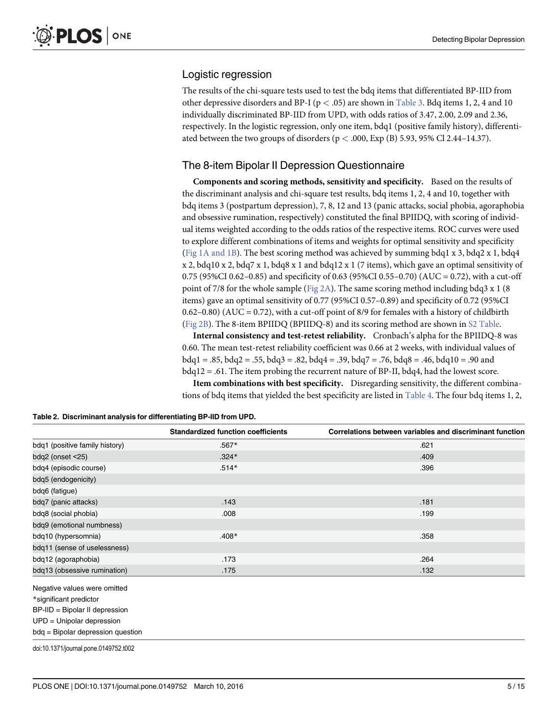#### <span id="page-7-0"></span>Logistic regression

The results of the chi-square tests used to test the bdq items that differentiated BP-IID from other depressive disorders and BP-I ( $p < .05$ ) are shown in [Table 3.](#page-8-0) Bdq items 1, 2, 4 and 10 individually discriminated BP-IID from UPD, with odds ratios of 3.47, 2.00, 2.09 and 2.36, respectively. In the logistic regression, only one item, bdq1 (positive family history), differentiated between the two groups of disorders ( $p < .000$ , Exp (B) 5.93, 95% Cl 2.44-14.37).

#### The 8-item Bipolar II Depression Questionnaire

Components and scoring methods, sensitivity and specificity. Based on the results of the discriminant analysis and chi-square test results, bdq items 1, 2, 4 and 10, together with bdq items 3 (postpartum depression), 7, 8, 12 and 13 (panic attacks, social phobia, agoraphobia and obsessive rumination, respectively) constituted the final BPIIDQ, with scoring of individual items weighted according to the odds ratios of the respective items. ROC curves were used to explore different combinations of items and weights for optimal sensitivity and specificity [\(Fig 1A and 1B\)](#page-8-0). The best scoring method was achieved by summing bdq1 x 3, bdq2 x 1, bdq4 x 2, bdq10 x 2, bdq7 x 1, bdq8 x 1 and bdq12 x 1 (7 items), which gave an optimal sensitivity of 0.75 (95%CI 0.62–0.85) and specificity of 0.63 (95%CI 0.55–0.70) ( $AUC = 0.72$ ), with a cut-off point of 7/8 for the whole sample ([Fig 2A](#page-9-0)). The same scoring method including bdq3 x 1 (8) items) gave an optimal sensitivity of 0.77 (95%CI 0.57–0.89) and specificity of 0.72 (95%CI  $0.62-0.80$ ) (AUC = 0.72), with a cut-off point of 8/9 for females with a history of childbirth [\(Fig 2B\)](#page-9-0). The 8-item BPIIDQ (BPIIDQ-8) and its scoring method are shown in [S2 Table](#page-13-0).

Internal consistency and test-retest reliability. Cronbach's alpha for the BPIIDQ-8 was 0.60. The mean test-retest reliability coefficient was 0.66 at 2 weeks, with individual values of  $bdq1 = .85, bdq2 = .55, bdq3 = .82, bdq4 = .39, bdq7 = .76, bdq8 = .46, bdq10 = .90$  and bdq12 = .61. The item probing the recurrent nature of BP-II, bdq4, had the lowest score.

Item combinations with best specificity. Disregarding sensitivity, the different combinations of bdq items that yielded the best specificity are listed in [Table 4.](#page-9-0) The four bdq items 1, 2,

|                                | <b>Standardized function coefficients</b> | Correlations between variables and discriminant function |
|--------------------------------|-------------------------------------------|----------------------------------------------------------|
| bdq1 (positive family history) | $.567*$                                   | .621                                                     |
| bdq2 (onset <25)               | $.324*$                                   | .409                                                     |
| bdq4 (episodic course)         | $.514*$                                   | .396                                                     |
| bdq5 (endogenicity)            |                                           |                                                          |
| bdq6 (fatigue)                 |                                           |                                                          |
| bdq7 (panic attacks)           | .143                                      | .181                                                     |
| bdq8 (social phobia)           | .008                                      | .199                                                     |
| bdq9 (emotional numbness)      |                                           |                                                          |
| bdg10 (hypersomnia)            | $.408*$                                   | .358                                                     |
| bdg11 (sense of uselessness)   |                                           |                                                          |
| bdq12 (agoraphobia)            | .173                                      | .264                                                     |
| bdq13 (obsessive rumination)   | .175                                      | .132                                                     |
| Negative values were omitted   |                                           |                                                          |
| *significant predictor         |                                           |                                                          |
| BP-IID = Bipolar II depression |                                           |                                                          |
| $UPD = Unipolar depression$    |                                           |                                                          |

[Table 2.](#page-6-0) Discriminant analysis for differentiating BP-IID from UPD.

doi:10.1371/journal.pone.0149752.t002

bdq = Bipolar depression question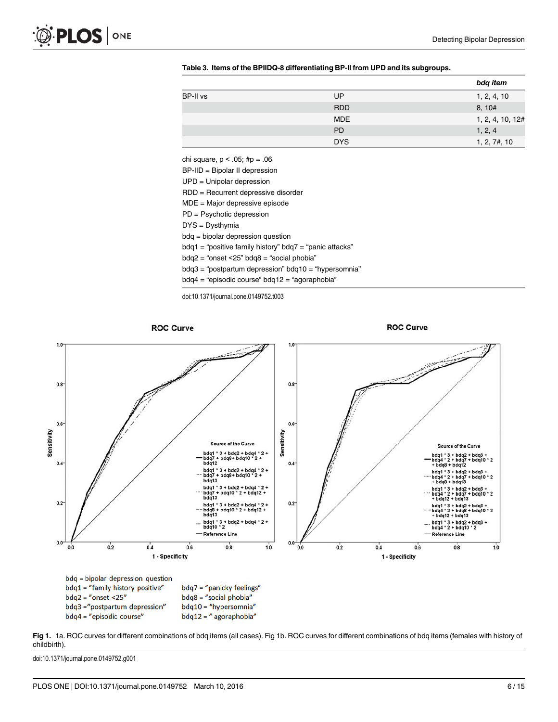#### <span id="page-8-0"></span>[Table 3.](#page-7-0) Items of the BPIIDQ-8 differentiating BP-II from UPD and its subgroups.

|          |            | bdg item         |
|----------|------------|------------------|
| BP-II vs | UP         | 1, 2, 4, 10      |
|          | <b>RDD</b> | 8, 10#           |
|          | <b>MDE</b> | 1, 2, 4, 10, 12# |
|          | <b>PD</b>  | 1, 2, 4          |
|          | <b>DYS</b> | $1, 2, 7$ #, 10  |

chi square,  $p < .05$ ; # $p = .06$ 

BP-IID = Bipolar II depression

UPD = Unipolar depression

RDD = Recurrent depressive disorder

MDE = Major depressive episode

PD = Psychotic depression

DYS = Dysthymia

bdq = bipolar depression question

 $bdq1 = "positive family history" bdq7 = "panic attacks"$ 

 $bdq2 = "onset < 25" bdq8 = "social phobia"$ 

bdq3 = "postpartum depression" bdq10 = "hypersomnia"

bdq4 = "episodic course" bdq12 = "agoraphobia"

doi:10.1371/journal.pone.0149752.t003



**ROC Curve** 



bdq7 = "panicky feelings" bdq1 = "family history positive" bdq8 = "social phobia"  $bdq2 = "onset <25"$ bdq3 ="postpartum depression"  $bdq10 = "hypersonnia"$ bdq4 = "episodic course"  $bdq12 = "agoraphobia"$ 



doi:10.1371/journal.pone.0149752.g001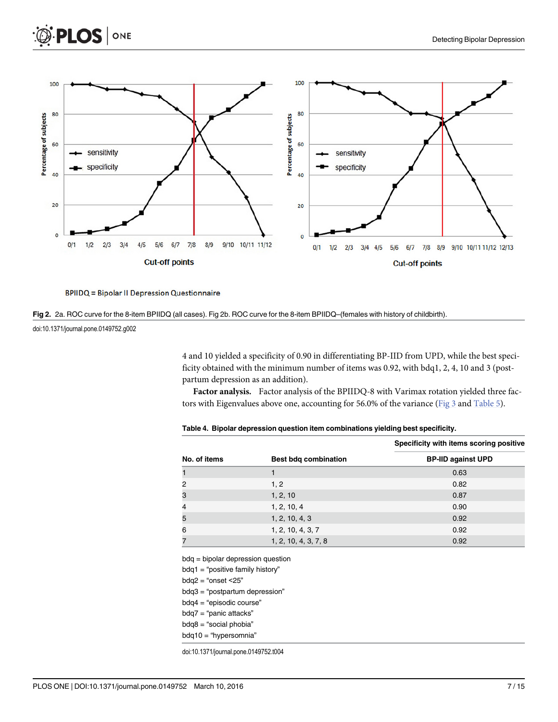<span id="page-9-0"></span>



**BPIIDQ = Bipolar II Depression Questionnaire** 



doi:10.1371/journal.pone.0149752.g002

4 and 10 yielded a specificity of 0.90 in differentiating BP-IID from UPD, while the best specificity obtained with the minimum number of items was 0.92, with bdq1, 2, 4, 10 and 3 (postpartum depression as an addition).

Factor analysis. Factor analysis of the BPIIDQ-8 with Varimax rotation yielded three fac-tors with Eigenvalues above one, accounting for 56.0% of the variance [\(Fig 3](#page-10-0) and [Table 5](#page-10-0)).

|                |                             | Specificity with items scoring positive<br><b>BP-IID against UPD</b> |  |  |
|----------------|-----------------------------|----------------------------------------------------------------------|--|--|
| No. of items   | <b>Best bdg combination</b> |                                                                      |  |  |
| $\overline{1}$ |                             | 0.63                                                                 |  |  |
| $\overline{2}$ | 1, 2                        | 0.82                                                                 |  |  |
| 3              | 1, 2, 10                    | 0.87                                                                 |  |  |
| 4              | 1, 2, 10, 4                 | 0.90                                                                 |  |  |
| 5              | 1, 2, 10, 4, 3              | 0.92                                                                 |  |  |
| 6              | 1, 2, 10, 4, 3, 7           | 0.92                                                                 |  |  |
| 7              | 1, 2, 10, 4, 3, 7, 8        | 0.92                                                                 |  |  |

|  |  |  | Table 4. Bipolar depression question item combinations yielding best specificity. |  |  |  |  |  |
|--|--|--|-----------------------------------------------------------------------------------|--|--|--|--|--|
|--|--|--|-----------------------------------------------------------------------------------|--|--|--|--|--|

bdq = bipolar depression question

bdq1 = "positive family history"

 $bdq2 = "onset < 25"$ 

bdq3 = "postpartum depression"

bdq4 = "episodic course"

bdq7 = "panic attacks"

bdq8 = "social phobia"

bdq10 = "hypersomnia"

doi:10.1371/journal.pone.0149752.t004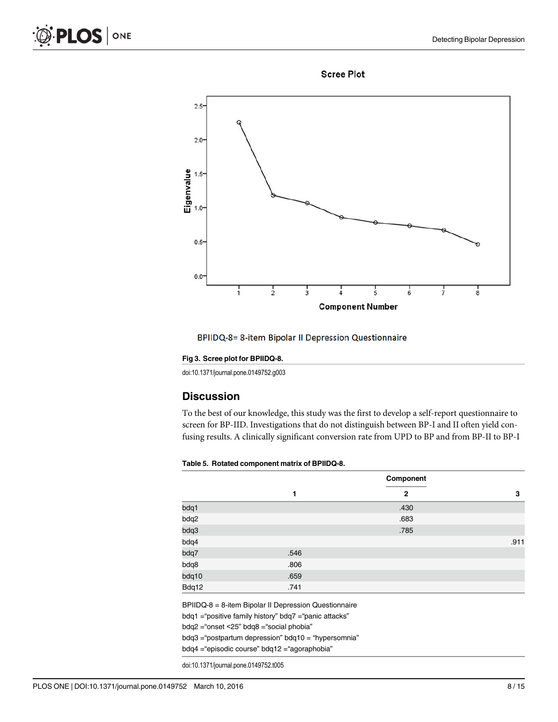<span id="page-10-0"></span>





BPIIDQ-8=8-item Bipolar II Depression Questionnaire

#### [Fig 3. S](#page-9-0)cree plot for BPIIDQ-8.

doi:10.1371/journal.pone.0149752.g003

### **Discussion**

To the best of our knowledge, this study was the first to develop a self-report questionnaire to screen for BP-IID. Investigations that do not distinguish between BP-I and II often yield confusing results. A clinically significant conversion rate from UPD to BP and from BP-II to BP-I

#### [Table 5.](#page-9-0) Rotated component matrix of BPIIDQ-8.

|       |                                                         | Component    |      |
|-------|---------------------------------------------------------|--------------|------|
|       | 1                                                       | $\mathbf{2}$ | 3    |
| bdg1  |                                                         | .430         |      |
| bdq2  |                                                         | .683         |      |
| bdq3  |                                                         | .785         |      |
| bdq4  |                                                         |              | .911 |
| bdq7  | .546                                                    |              |      |
| 8pbd  | .806                                                    |              |      |
| bdq10 | .659                                                    |              |      |
| Bdq12 | .741                                                    |              |      |
|       | BPIIDQ-8 = 8-item Bipolar II Depression Questionnaire   |              |      |
|       | bdq1 = "positive family history" bdq7 = "panic attacks" |              |      |
|       | $bdq2 = 'onset < 25' bdq8 = 'social phobia'$            |              |      |
|       | $bdq3 = 'postpartum depression' bdq10 = 'hypersomnia'$  |              |      |
|       | bdq4 = "episodic course" bdq12 = "agoraphobia"          |              |      |

doi:10.1371/journal.pone.0149752.t005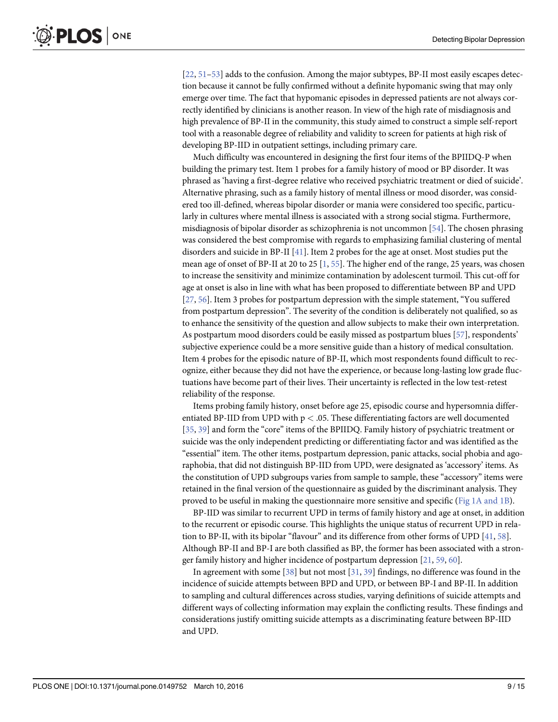<span id="page-11-0"></span>[\[22](#page-14-0), [51](#page-16-0)–[53\]](#page-16-0) adds to the confusion. Among the major subtypes, BP-II most easily escapes detection because it cannot be fully confirmed without a definite hypomanic swing that may only emerge over time. The fact that hypomanic episodes in depressed patients are not always correctly identified by clinicians is another reason. In view of the high rate of misdiagnosis and high prevalence of BP-II in the community, this study aimed to construct a simple self-report tool with a reasonable degree of reliability and validity to screen for patients at high risk of developing BP-IID in outpatient settings, including primary care.

Much difficulty was encountered in designing the first four items of the BPIIDQ-P when building the primary test. Item 1 probes for a family history of mood or BP disorder. It was phrased as 'having a first-degree relative who received psychiatric treatment or died of suicide'. Alternative phrasing, such as a family history of mental illness or mood disorder, was considered too ill-defined, whereas bipolar disorder or mania were considered too specific, particularly in cultures where mental illness is associated with a strong social stigma. Furthermore, misdiagnosis of bipolar disorder as schizophrenia is not uncommon [\[54\]](#page-16-0). The chosen phrasing was considered the best compromise with regards to emphasizing familial clustering of mental disorders and suicide in BP-II [[41](#page-15-0)]. Item 2 probes for the age at onset. Most studies put the mean age of onset of BP-II at 20 to 25  $[1, 55]$  $[1, 55]$  $[1, 55]$ . The higher end of the range, 25 years, was chosen to increase the sensitivity and minimize contamination by adolescent turmoil. This cut-off for age at onset is also in line with what has been proposed to differentiate between BP and UPD [\[27](#page-15-0), [56\]](#page-16-0). Item 3 probes for postpartum depression with the simple statement, "You suffered from postpartum depression". The severity of the condition is deliberately not qualified, so as to enhance the sensitivity of the question and allow subjects to make their own interpretation. As postpartum mood disorders could be easily missed as postpartum blues [\[57](#page-16-0)], respondents' subjective experience could be a more sensitive guide than a history of medical consultation. Item 4 probes for the episodic nature of BP-II, which most respondents found difficult to recognize, either because they did not have the experience, or because long-lasting low grade fluctuations have become part of their lives. Their uncertainty is reflected in the low test-retest reliability of the response.

Items probing family history, onset before age 25, episodic course and hypersomnia differentiated BP-IID from UPD with  $p < 0.05$ . These differentiating factors are well documented [\[35](#page-15-0), [39\]](#page-15-0) and form the "core" items of the BPIIDQ. Family history of psychiatric treatment or suicide was the only independent predicting or differentiating factor and was identified as the "essential" item. The other items, postpartum depression, panic attacks, social phobia and agoraphobia, that did not distinguish BP-IID from UPD, were designated as 'accessory' items. As the constitution of UPD subgroups varies from sample to sample, these "accessory" items were retained in the final version of the questionnaire as guided by the discriminant analysis. They proved to be useful in making the questionnaire more sensitive and specific ( $Fig 1A$  and 1B).

BP-IID was similar to recurrent UPD in terms of family history and age at onset, in addition to the recurrent or episodic course. This highlights the unique status of recurrent UPD in relation to BP-II, with its bipolar "flavour" and its difference from other forms of UPD [\[41,](#page-15-0) [58\]](#page-16-0). Although BP-II and BP-I are both classified as BP, the former has been associated with a stronger family history and higher incidence of postpartum depression  $[21, 59, 60]$  $[21, 59, 60]$  $[21, 59, 60]$  $[21, 59, 60]$  $[21, 59, 60]$ .

In agreement with some  $[38]$  but not most  $[31, 39]$  $[31, 39]$  $[31, 39]$  findings, no difference was found in the incidence of suicide attempts between BPD and UPD, or between BP-I and BP-II. In addition to sampling and cultural differences across studies, varying definitions of suicide attempts and different ways of collecting information may explain the conflicting results. These findings and considerations justify omitting suicide attempts as a discriminating feature between BP-IID and UPD.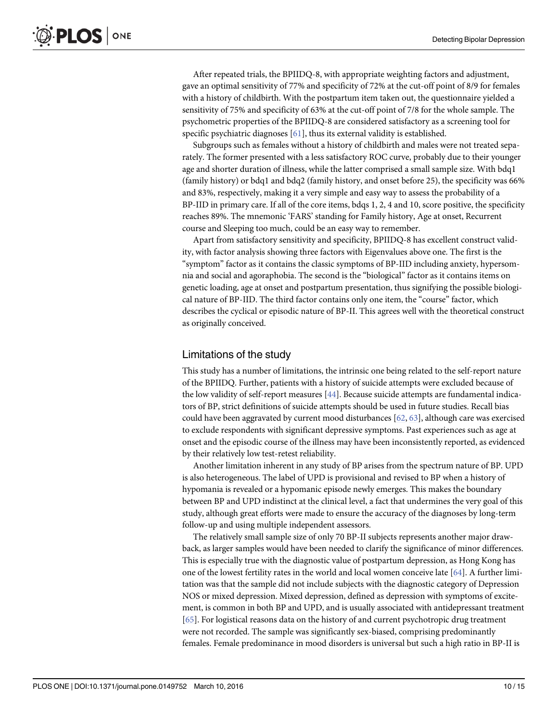<span id="page-12-0"></span>After repeated trials, the BPIIDQ-8, with appropriate weighting factors and adjustment, gave an optimal sensitivity of 77% and specificity of 72% at the cut-off point of 8/9 for females with a history of childbirth. With the postpartum item taken out, the questionnaire yielded a sensitivity of 75% and specificity of 63% at the cut-off point of 7/8 for the whole sample. The psychometric properties of the BPIIDQ-8 are considered satisfactory as a screening tool for specific psychiatric diagnoses [[61](#page-16-0)], thus its external validity is established.

Subgroups such as females without a history of childbirth and males were not treated separately. The former presented with a less satisfactory ROC curve, probably due to their younger age and shorter duration of illness, while the latter comprised a small sample size. With bdq1 (family history) or bdq1 and bdq2 (family history, and onset before 25), the specificity was 66% and 83%, respectively, making it a very simple and easy way to assess the probability of a BP-IID in primary care. If all of the core items, bdqs 1, 2, 4 and 10, score positive, the specificity reaches 89%. The mnemonic 'FARS' standing for Family history, Age at onset, Recurrent course and Sleeping too much, could be an easy way to remember.

Apart from satisfactory sensitivity and specificity, BPIIDQ-8 has excellent construct validity, with factor analysis showing three factors with Eigenvalues above one. The first is the "symptom" factor as it contains the classic symptoms of BP-IID including anxiety, hypersomnia and social and agoraphobia. The second is the "biological" factor as it contains items on genetic loading, age at onset and postpartum presentation, thus signifying the possible biological nature of BP-IID. The third factor contains only one item, the "course" factor, which describes the cyclical or episodic nature of BP-II. This agrees well with the theoretical construct as originally conceived.

#### Limitations of the study

This study has a number of limitations, the intrinsic one being related to the self-report nature of the BPIIDQ. Further, patients with a history of suicide attempts were excluded because of the low validity of self-report measures [\[44\]](#page-16-0). Because suicide attempts are fundamental indicators of BP, strict definitions of suicide attempts should be used in future studies. Recall bias could have been aggravated by current mood disturbances  $[62, 63]$  $[62, 63]$  $[62, 63]$ , although care was exercised to exclude respondents with significant depressive symptoms. Past experiences such as age at onset and the episodic course of the illness may have been inconsistently reported, as evidenced by their relatively low test-retest reliability.

Another limitation inherent in any study of BP arises from the spectrum nature of BP. UPD is also heterogeneous. The label of UPD is provisional and revised to BP when a history of hypomania is revealed or a hypomanic episode newly emerges. This makes the boundary between BP and UPD indistinct at the clinical level, a fact that undermines the very goal of this study, although great efforts were made to ensure the accuracy of the diagnoses by long-term follow-up and using multiple independent assessors.

The relatively small sample size of only 70 BP-II subjects represents another major drawback, as larger samples would have been needed to clarify the significance of minor differences. This is especially true with the diagnostic value of postpartum depression, as Hong Kong has one of the lowest fertility rates in the world and local women conceive late [[64](#page-17-0)]. A further limitation was that the sample did not include subjects with the diagnostic category of Depression NOS or mixed depression. Mixed depression, defined as depression with symptoms of excitement, is common in both BP and UPD, and is usually associated with antidepressant treatment [\[65](#page-17-0)]. For logistical reasons data on the history of and current psychotropic drug treatment were not recorded. The sample was significantly sex-biased, comprising predominantly females. Female predominance in mood disorders is universal but such a high ratio in BP-II is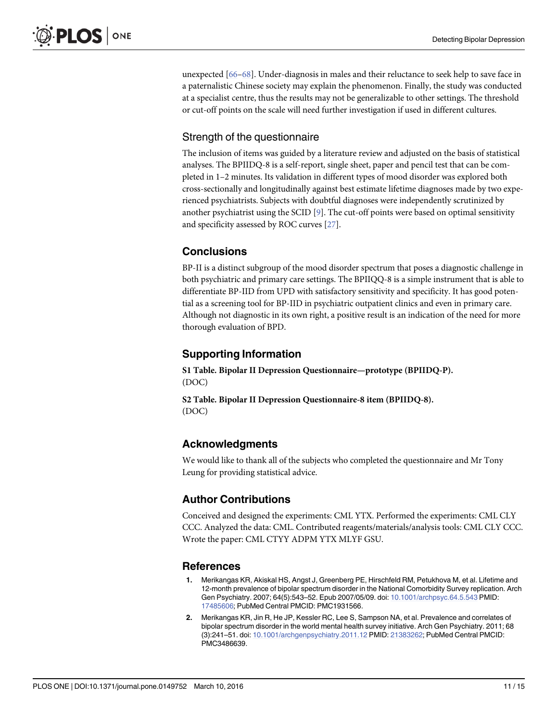<span id="page-13-0"></span>unexpected [\[66](#page-17-0)–[68](#page-17-0)]. Under-diagnosis in males and their reluctance to seek help to save face in a paternalistic Chinese society may explain the phenomenon. Finally, the study was conducted at a specialist centre, thus the results may not be generalizable to other settings. The threshold or cut-off points on the scale will need further investigation if used in different cultures.

# Strength of the questionnaire

The inclusion of items was guided by a literature review and adjusted on the basis of statistical analyses. The BPIIDQ-8 is a self-report, single sheet, paper and pencil test that can be completed in 1–2 minutes. Its validation in different types of mood disorder was explored both cross-sectionally and longitudinally against best estimate lifetime diagnoses made by two experienced psychiatrists. Subjects with doubtful diagnoses were independently scrutinized by another psychiatrist using the SCID  $[9]$ . The cut-off points were based on optimal sensitivity and specificity assessed by ROC curves [\[27\]](#page-15-0).

# **Conclusions**

BP-II is a distinct subgroup of the mood disorder spectrum that poses a diagnostic challenge in both psychiatric and primary care settings. The BPIIQQ-8 is a simple instrument that is able to differentiate BP-IID from UPD with satisfactory sensitivity and specificity. It has good potential as a screening tool for BP-IID in psychiatric outpatient clinics and even in primary care. Although not diagnostic in its own right, a positive result is an indication of the need for more thorough evaluation of BPD.

# Supporting Information

[S1 Table](http://www.plosone.org/article/fetchSingleRepresentation.action?uri=info:doi/10.1371/journal.pone.0149752.s001). Bipolar II Depression Questionnaire—prototype (BPIIDQ-P). (DOC)

[S2 Table](http://www.plosone.org/article/fetchSingleRepresentation.action?uri=info:doi/10.1371/journal.pone.0149752.s002). Bipolar II Depression Questionnaire-8 item (BPIIDQ-8). (DOC)

# Acknowledgments

We would like to thank all of the subjects who completed the questionnaire and Mr Tony Leung for providing statistical advice.

# Author Contributions

Conceived and designed the experiments: CML YTX. Performed the experiments: CML CLY CCC. Analyzed the data: CML. Contributed reagents/materials/analysis tools: CML CLY CCC. Wrote the paper: CML CTYY ADPM YTX MLYF GSU.

## **References**

- [1.](#page-3-0) Merikangas KR, Akiskal HS, Angst J, Greenberg PE, Hirschfeld RM, Petukhova M, et al. Lifetime and 12-month prevalence of bipolar spectrum disorder in the National Comorbidity Survey replication. Arch Gen Psychiatry. 2007; 64(5):543–52. Epub 2007/05/09. doi: [10.1001/archpsyc.64.5.543](http://dx.doi.org/10.1001/archpsyc.64.5.543) PMID: [17485606](http://www.ncbi.nlm.nih.gov/pubmed/17485606); PubMed Central PMCID: PMC1931566.
- [2.](#page-3-0) Merikangas KR, Jin R, He JP, Kessler RC, Lee S, Sampson NA, et al. Prevalence and correlates of bipolar spectrum disorder in the world mental health survey initiative. Arch Gen Psychiatry. 2011; 68 (3):241–51. doi: [10.1001/archgenpsychiatry.2011.12](http://dx.doi.org/10.1001/archgenpsychiatry.2011.12) PMID: [21383262;](http://www.ncbi.nlm.nih.gov/pubmed/21383262) PubMed Central PMCID: PMC3486639.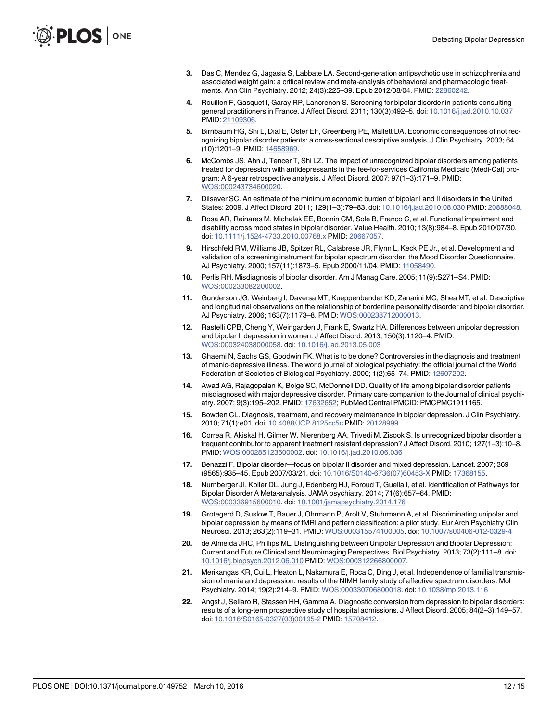- <span id="page-14-0"></span>[3.](#page-3-0) Das C, Mendez G, Jagasia S, Labbate LA. Second-generation antipsychotic use in schizophrenia and associated weight gain: a critical review and meta-analysis of behavioral and pharmacologic treatments. Ann Clin Psychiatry. 2012; 24(3):225–39. Epub 2012/08/04. PMID: [22860242](http://www.ncbi.nlm.nih.gov/pubmed/22860242).
- [4.](#page-3-0) Rouillon F, Gasquet I, Garay RP, Lancrenon S. Screening for bipolar disorder in patients consulting general practitioners in France. J Affect Disord. 2011; 130(3):492–5. doi: [10.1016/j.jad.2010.10.037](http://dx.doi.org/10.1016/j.jad.2010.10.037) PMID: [21109306.](http://www.ncbi.nlm.nih.gov/pubmed/21109306)
- [5.](#page-4-0) Birnbaum HG, Shi L, Dial E, Oster EF, Greenberg PE, Mallett DA. Economic consequences of not recognizing bipolar disorder patients: a cross-sectional descriptive analysis. J Clin Psychiatry. 2003; 64 (10):1201–9. PMID: [14658969](http://www.ncbi.nlm.nih.gov/pubmed/14658969).
- McCombs JS, Ahn J, Tencer T, Shi LZ. The impact of unrecognized bipolar disorders among patients treated for depression with antidepressants in the fee-for-services California Medicaid (Medi-Cal) program: A 6-year retrospective analysis. J Affect Disord. 2007; 97(1–3):171–9. PMID: [WOS:000243734600020](http://www.ncbi.nlm.nih.gov/pubmed/WOS:000243734600020).
- [7.](#page-4-0) Dilsaver SC. An estimate of the minimum economic burden of bipolar I and II disorders in the United States: 2009. J Affect Disord. 2011; 129(1–3):79–83. doi: [10.1016/j.jad.2010.08.030](http://dx.doi.org/10.1016/j.jad.2010.08.030) PMID: [20888048.](http://www.ncbi.nlm.nih.gov/pubmed/20888048)
- [8.](#page-4-0) Rosa AR, Reinares M, Michalak EE, Bonnin CM, Sole B, Franco C, et al. Functional impairment and disability across mood states in bipolar disorder. Value Health. 2010; 13(8):984–8. Epub 2010/07/30. doi: [10.1111/j.1524-4733.2010.00768.x](http://dx.doi.org/10.1111/j.1524-4733.2010.00768.x) PMID: [20667057.](http://www.ncbi.nlm.nih.gov/pubmed/20667057)
- [9.](#page-4-0) Hirschfeld RM, Williams JB, Spitzer RL, Calabrese JR, Flynn L, Keck PE Jr., et al. Development and validation of a screening instrument for bipolar spectrum disorder: the Mood Disorder Questionnaire. AJ Psychiatry. 2000; 157(11):1873–5. Epub 2000/11/04. PMID: [11058490](http://www.ncbi.nlm.nih.gov/pubmed/11058490).
- 10. Perlis RH. Misdiagnosis of bipolar disorder. Am J Manag Care. 2005; 11(9):S271–S4. PMID: [WOS:000233082200002](http://www.ncbi.nlm.nih.gov/pubmed/WOS:000233082200002).
- 11. Gunderson JG, Weinberg I, Daversa MT, Kueppenbender KD, Zanarini MC, Shea MT, et al. Descriptive and longitudinal observations on the relationship of borderline personality disorder and bipolar disorder. AJ Psychiatry. 2006; 163(7):1173–8. PMID: [WOS:000238712000013](http://www.ncbi.nlm.nih.gov/pubmed/WOS:000238712000013).
- [12.](#page-4-0) Rastelli CPB, Cheng Y, Weingarden J, Frank E, Swartz HA. Differences between unipolar depression and bipolar II depression in women. J Affect Disord. 2013; 150(3):1120–4. PMID: [WOS:000324038000058](http://www.ncbi.nlm.nih.gov/pubmed/WOS:000324038000058). doi: [10.1016/j.jad.2013.05.003](http://dx.doi.org/10.1016/j.jad.2013.05.003)
- [13.](#page-4-0) Ghaemi N, Sachs GS, Goodwin FK. What is to be done? Controversies in the diagnosis and treatment of manic-depressive illness. The world journal of biological psychiatry: the official journal of the World Federation of Societies of Biological Psychiatry. 2000; 1(2):65–74. PMID: [12607202.](http://www.ncbi.nlm.nih.gov/pubmed/12607202)
- 14. Awad AG, Rajagopalan K, Bolge SC, McDonnell DD. Quality of life among bipolar disorder patients misdiagnosed with major depressive disorder. Primary care companion to the Journal of clinical psychiatry. 2007; 9(3):195–202. PMID: [17632652](http://www.ncbi.nlm.nih.gov/pubmed/17632652); PubMed Central PMCID: PMCPMC1911165.
- 15. Bowden CL. Diagnosis, treatment, and recovery maintenance in bipolar depression. J Clin Psychiatry. 2010; 71(1):e01. doi: [10.4088/JCP.8125cc5c](http://dx.doi.org/10.4088/JCP.8125cc5c) PMID: [20128999](http://www.ncbi.nlm.nih.gov/pubmed/20128999).
- [16.](#page-4-0) Correa R, Akiskal H, Gilmer W, Nierenberg AA, Trivedi M, Zisook S. Is unrecognized bipolar disorder a frequent contributor to apparent treatment resistant depression? J Affect Disord. 2010; 127(1–3):10–8. PMID: [WOS:000285123600002.](http://www.ncbi.nlm.nih.gov/pubmed/WOS:000285123600002) doi: [10.1016/j.jad.2010.06.036](http://dx.doi.org/10.1016/j.jad.2010.06.036)
- [17.](#page-4-0) Benazzi F. Bipolar disorder—focus on bipolar II disorder and mixed depression. Lancet. 2007; 369 (9565):935–45. Epub 2007/03/21. doi: [10.1016/S0140-6736\(07\)60453-X](http://dx.doi.org/10.1016/S0140-6736(07)60453-X) PMID: [17368155.](http://www.ncbi.nlm.nih.gov/pubmed/17368155)
- [18.](#page-4-0) Nurnberger JI, Koller DL, Jung J, Edenberg HJ, Foroud T, Guella I, et al. Identification of Pathways for Bipolar Disorder A Meta-analysis. JAMA psychiatry. 2014; 71(6):657–64. PMID: [WOS:000336915600010](http://www.ncbi.nlm.nih.gov/pubmed/WOS:000336915600010). doi: [10.1001/jamapsychiatry.2014.176](http://dx.doi.org/10.1001/jamapsychiatry.2014.176)
- [19.](#page-4-0) Grotegerd D, Suslow T, Bauer J, Ohrmann P, Arolt V, Stuhrmann A, et al. Discriminating unipolar and bipolar depression by means of fMRI and pattern classification: a pilot study. Eur Arch Psychiatry Clin Neurosci. 2013; 263(2):119–31. PMID: [WOS:000315574100005.](http://www.ncbi.nlm.nih.gov/pubmed/WOS:000315574100005) doi: [10.1007/s00406-012-0329-4](http://dx.doi.org/10.1007/s00406-012-0329-4)
- 20. de Almeida JRC, Phillips ML. Distinguishing between Unipolar Depression and Bipolar Depression: Current and Future Clinical and Neuroimaging Perspectives. Biol Psychiatry. 2013; 73(2):111–8. doi: [10.1016/j.biopsych.2012.06.010](http://dx.doi.org/10.1016/j.biopsych.2012.06.010) PMID: [WOS:000312266800007.](http://www.ncbi.nlm.nih.gov/pubmed/WOS:000312266800007)
- [21.](#page-4-0) Merikangas KR, Cui L, Heaton L, Nakamura E, Roca C, Ding J, et al. Independence of familial transmission of mania and depression: results of the NIMH family study of affective spectrum disorders. Mol Psychiatry. 2014; 19(2):214–9. PMID: [WOS:000330706800018](http://www.ncbi.nlm.nih.gov/pubmed/WOS:000330706800018). doi: [10.1038/mp.2013.116](http://dx.doi.org/10.1038/mp.2013.116)
- [22.](#page-4-0) Angst J, Sellaro R, Stassen HH, Gamma A. Diagnostic conversion from depression to bipolar disorders: results of a long-term prospective study of hospital admissions. J Affect Disord. 2005; 84(2–3):149–57. doi: [10.1016/S0165-0327\(03\)00195-2](http://dx.doi.org/10.1016/S0165-0327(03)00195-2) PMID: [15708412.](http://www.ncbi.nlm.nih.gov/pubmed/15708412)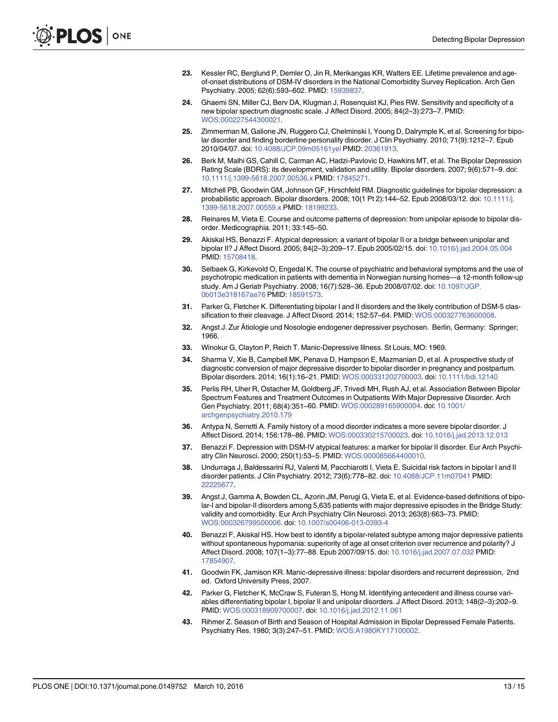- <span id="page-15-0"></span>[23.](#page-4-0) Kessler RC, Berglund P, Demler O, Jin R, Merikangas KR, Walters EE. Lifetime prevalence and ageof-onset distributions of DSM-IV disorders in the National Comorbidity Survey Replication. Arch Gen Psychiatry. 2005; 62(6):593–602. PMID: [15939837](http://www.ncbi.nlm.nih.gov/pubmed/15939837).
- [24.](#page-4-0) Ghaemi SN, Miller CJ, Berv DA, Klugman J, Rosenquist KJ, Pies RW. Sensitivity and specificity of a new bipolar spectrum diagnostic scale. J Affect Disord. 2005; 84(2–3):273–7. PMID: [WOS:000227544300021](http://www.ncbi.nlm.nih.gov/pubmed/WOS:000227544300021).
- [25.](#page-4-0) Zimmerman M, Galione JN, Ruggero CJ, Chelminski I, Young D, Dalrymple K, et al. Screening for bipolar disorder and finding borderline personality disorder. J Clin Psychiatry. 2010; 71(9):1212–7. Epub 2010/04/07. doi: [10.4088/JCP.09m05161yel](http://dx.doi.org/10.4088/JCP.09m05161yel) PMID: [20361913](http://www.ncbi.nlm.nih.gov/pubmed/20361913).
- [26.](#page-4-0) Berk M, Malhi GS, Cahill C, Carman AC, Hadzi-Pavlovic D, Hawkins MT, et al. The Bipolar Depression Rating Scale (BDRS): its development, validation and utility. Bipolar disorders. 2007; 9(6):571–9. doi: [10.1111/j.1399-5618.2007.00536.x](http://dx.doi.org/10.1111/j.1399-5618.2007.00536.x) PMID: [17845271](http://www.ncbi.nlm.nih.gov/pubmed/17845271).
- [27.](#page-4-0) Mitchell PB, Goodwin GM, Johnson GF, Hirschfeld RM. Diagnostic guidelines for bipolar depression: a probabilistic approach. Bipolar disorders. 2008; 10(1 Pt 2):144–52. Epub 2008/03/12. doi: [10.1111/j.](http://dx.doi.org/10.1111/j.1399-5618.2007.00559.x) [1399-5618.2007.00559.x](http://dx.doi.org/10.1111/j.1399-5618.2007.00559.x) PMID: [18199233.](http://www.ncbi.nlm.nih.gov/pubmed/18199233)
- [28.](#page-4-0) Reinares M, Vieta E. Course and outcome patterns of depression: from unipolar episode to bipolar disorder. Medicographia. 2011; 33:145–50.
- [29.](#page-4-0) Akiskal HS, Benazzi F. Atypical depression: a variant of bipolar II or a bridge between unipolar and bipolar II? J Affect Disord. 2005; 84(2–3):209–17. Epub 2005/02/15. doi: [10.1016/j.jad.2004.05.004](http://dx.doi.org/10.1016/j.jad.2004.05.004) PMID: [15708418.](http://www.ncbi.nlm.nih.gov/pubmed/15708418)
- 30. Selbaek G, Kirkevold O, Engedal K. The course of psychiatric and behavioral symptoms and the use of psychotropic medication in patients with dementia in Norwegian nursing homes—a 12-month follow-up study. Am J Geriatr Psychiatry. 2008; 16(7):528–36. Epub 2008/07/02. doi: [10.1097/JGP.](http://dx.doi.org/10.1097/JGP.0b013e318167ae76) [0b013e318167ae76](http://dx.doi.org/10.1097/JGP.0b013e318167ae76) PMID: [18591573](http://www.ncbi.nlm.nih.gov/pubmed/18591573).
- [31.](#page-4-0) Parker G, Fletcher K. Differentiating bipolar I and II disorders and the likely contribution of DSM-5 classification to their cleavage. J Affect Disord. 2014; 152:57–64. PMID: [WOS:000327763600008.](http://www.ncbi.nlm.nih.gov/pubmed/WOS:000327763600008)
- [32.](#page-4-0) Angst J. Zur Ätiologie und Nosologie endogener depressiver psychosen. Berlin, Germany: Springer; 1966.
- [33.](#page-4-0) Winokur G, Clayton P, Reich T. Manic-Depressive Illness. St Louis, MO: 1969.
- [34.](#page-4-0) Sharma V, Xie B, Campbell MK, Penava D, Hampson E, Mazmanian D, et al. A prospective study of diagnostic conversion of major depressive disorder to bipolar disorder in pregnancy and postpartum. Bipolar disorders. 2014; 16(1):16–21. PMID: [WOS:000331202700003.](http://www.ncbi.nlm.nih.gov/pubmed/WOS:000331202700003) doi: [10.1111/bdi.12140](http://dx.doi.org/10.1111/bdi.12140)
- [35.](#page-11-0) Perlis RH, Uher R, Ostacher M, Goldberg JF, Trivedi MH, Rush AJ, et al. Association Between Bipolar Spectrum Features and Treatment Outcomes in Outpatients With Major Depressive Disorder. Arch Gen Psychiatry. 2011; 68(4):351–60. PMID: [WOS:000289165900004](http://www.ncbi.nlm.nih.gov/pubmed/WOS:000289165900004). doi: [10.1001/](http://dx.doi.org/10.1001/archgenpsychiatry.2010.179) [archgenpsychiatry.2010.179](http://dx.doi.org/10.1001/archgenpsychiatry.2010.179)
- [36.](#page-4-0) Antypa N, Serretti A. Family history of a mood disorder indicates a more severe bipolar disorder. J Affect Disord. 2014; 156:178–86. PMID: [WOS:000330215700023.](http://www.ncbi.nlm.nih.gov/pubmed/WOS:000330215700023) doi: [10.1016/j.jad.2013.12.013](http://dx.doi.org/10.1016/j.jad.2013.12.013)
- [37.](#page-4-0) Benazzi F. Depression with DSM-IV atypical features: a marker for bipolar II disorder. Eur Arch Psychiatry Clin Neurosci. 2000; 250(1):53–5. PMID: [WOS:000085664400010](http://www.ncbi.nlm.nih.gov/pubmed/WOS:000085664400010).
- [38.](#page-4-0) Undurraga J, Baldessarini RJ, Valenti M, Pacchiarotti I, Vieta E. Suicidal risk factors in bipolar I and II disorder patients. J Clin Psychiatry. 2012; 73(6):778–82. doi: [10.4088/JCP.11m07041](http://dx.doi.org/10.4088/JCP.11m07041) PMID: [22225677](http://www.ncbi.nlm.nih.gov/pubmed/22225677).
- [39.](#page-4-0) Angst J, Gamma A, Bowden CL, Azorin JM, Perugi G, Vieta E, et al. Evidence-based definitions of bipolar-I and bipolar-II disorders among 5,635 patients with major depressive episodes in the Bridge Study: validity and comorbidity. Eur Arch Psychiatry Clin Neurosci. 2013; 263(8):663–73. PMID: [WOS:000326799500006](http://www.ncbi.nlm.nih.gov/pubmed/WOS:000326799500006). doi: [10.1007/s00406-013-0393-4](http://dx.doi.org/10.1007/s00406-013-0393-4)
- [40.](#page-4-0) Benazzi F, Akiskal HS. How best to identify a bipolar-related subtype among major depressive patients without spontaneous hypomania: superiority of age at onset criterion over recurrence and polarity? J Affect Disord. 2008; 107(1–3):77–88. Epub 2007/09/15. doi: [10.1016/j.jad.2007.07.032](http://dx.doi.org/10.1016/j.jad.2007.07.032) PMID: [17854907](http://www.ncbi.nlm.nih.gov/pubmed/17854907).
- [41.](#page-4-0) Goodwin FK, Jamison KR. Manic-depressive illness: bipolar disorders and recurrent depression, 2nd ed. Oxford University Press, 2007.
- [42.](#page-4-0) Parker G, Fletcher K, McCraw S, Futeran S, Hong M. Identifying antecedent and illness course variables differentiating bipolar I, bipolar II and unipolar disorders. J Affect Disord. 2013; 148(2–3):202–9. PMID: [WOS:000318909700007.](http://www.ncbi.nlm.nih.gov/pubmed/WOS:000318909700007) doi: [10.1016/j.jad.2012.11.061](http://dx.doi.org/10.1016/j.jad.2012.11.061)
- [43.](#page-4-0) Rihmer Z. Season of Birth and Season of Hospital Admission in Bipolar Depressed Female Patients. Psychiatry Res. 1980; 3(3):247–51. PMID: [WOS:A1980KY17100002.](http://www.ncbi.nlm.nih.gov/pubmed/WOS:A1980KY17100002)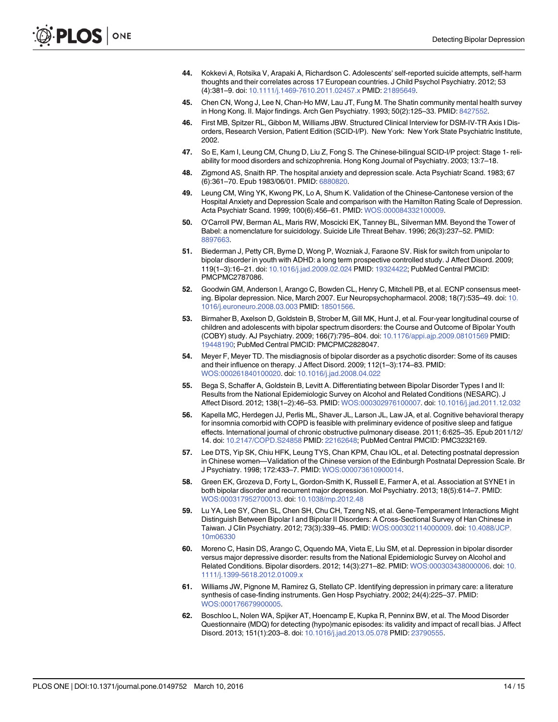- <span id="page-16-0"></span>[44.](#page-4-0) Kokkevi A, Rotsika V, Arapaki A, Richardson C. Adolescents' self-reported suicide attempts, self-harm thoughts and their correlates across 17 European countries. J Child Psychol Psychiatry. 2012; 53 (4):381–9. doi: [10.1111/j.1469-7610.2011.02457.x](http://dx.doi.org/10.1111/j.1469-7610.2011.02457.x) PMID: [21895649](http://www.ncbi.nlm.nih.gov/pubmed/21895649).
- [45.](#page-4-0) Chen CN, Wong J, Lee N, Chan-Ho MW, Lau JT, Fung M. The Shatin community mental health survey in Hong Kong. II. Major findings. Arch Gen Psychiatry. 1993; 50(2):125–33. PMID: [8427552](http://www.ncbi.nlm.nih.gov/pubmed/8427552).
- [46.](#page-5-0) First MB, Spitzer RL, Gibbon M, Williams JBW. Structured Clinical Interview for DSM-IV-TR Axis I Disorders, Research Version, Patient Edition (SCID-I/P). New York: New York State Psychiatric Institute, 2002.
- [47.](#page-5-0) So E, Kam I, Leung CM, Chung D, Liu Z, Fong S. The Chinese-bilingual SCID-I/P project: Stage 1- reliability for mood disorders and schizophrenia. Hong Kong Journal of Psychiatry. 2003; 13:7–18.
- [48.](#page-5-0) Zigmond AS, Snaith RP. The hospital anxiety and depression scale. Acta Psychiatr Scand. 1983; 67 (6):361–70. Epub 1983/06/01. PMID: [6880820](http://www.ncbi.nlm.nih.gov/pubmed/6880820).
- [49.](#page-5-0) Leung CM, Wing YK, Kwong PK, Lo A, Shum K. Validation of the Chinese-Cantonese version of the Hospital Anxiety and Depression Scale and comparison with the Hamilton Rating Scale of Depression. Acta Psychiatr Scand. 1999; 100(6):456–61. PMID: [WOS:000084332100009.](http://www.ncbi.nlm.nih.gov/pubmed/WOS:000084332100009)
- [50.](#page-5-0) O'Carroll PW, Berman AL, Maris RW, Moscicki EK, Tanney BL, Silverman MM. Beyond the Tower of Babel: a nomenclature for suicidology. Suicide Life Threat Behav. 1996; 26(3):237–52. PMID: [8897663.](http://www.ncbi.nlm.nih.gov/pubmed/8897663)
- [51.](#page-10-0) Biederman J, Petty CR, Byrne D, Wong P, Wozniak J, Faraone SV. Risk for switch from unipolar to bipolar disorder in youth with ADHD: a long term prospective controlled study. J Affect Disord. 2009; 119(1–3):16–21. doi: [10.1016/j.jad.2009.02.024](http://dx.doi.org/10.1016/j.jad.2009.02.024) PMID: [19324422](http://www.ncbi.nlm.nih.gov/pubmed/19324422); PubMed Central PMCID: PMCPMC2787086.
- 52. Goodwin GM, Anderson I, Arango C, Bowden CL, Henry C, Mitchell PB, et al. ECNP consensus meeting. Bipolar depression. Nice, March 2007. Eur Neuropsychopharmacol. 2008; 18(7):535–49. doi: [10.](http://dx.doi.org/10.1016/j.euroneuro.2008.03.003) [1016/j.euroneuro.2008.03.003](http://dx.doi.org/10.1016/j.euroneuro.2008.03.003) PMID: [18501566](http://www.ncbi.nlm.nih.gov/pubmed/18501566).
- [53.](#page-11-0) Birmaher B, Axelson D, Goldstein B, Strober M, Gill MK, Hunt J, et al. Four-year longitudinal course of children and adolescents with bipolar spectrum disorders: the Course and Outcome of Bipolar Youth (COBY) study. AJ Psychiatry. 2009; 166(7):795–804. doi: [10.1176/appi.ajp.2009.08101569](http://dx.doi.org/10.1176/appi.ajp.2009.08101569) PMID: [19448190](http://www.ncbi.nlm.nih.gov/pubmed/19448190); PubMed Central PMCID: PMCPMC2828047.
- [54.](#page-11-0) Meyer F, Meyer TD. The misdiagnosis of bipolar disorder as a psychotic disorder: Some of its causes and their influence on therapy. J Affect Disord. 2009; 112(1–3):174–83. PMID: [WOS:000261840100020](http://www.ncbi.nlm.nih.gov/pubmed/WOS:000261840100020). doi: [10.1016/j.jad.2008.04.022](http://dx.doi.org/10.1016/j.jad.2008.04.022)
- [55.](#page-11-0) Bega S, Schaffer A, Goldstein B, Levitt A. Differentiating between Bipolar Disorder Types I and II: Results from the National Epidemiologic Survey on Alcohol and Related Conditions (NESARC). J Affect Disord. 2012; 138(1–2):46–53. PMID: [WOS:000302976100007.](http://www.ncbi.nlm.nih.gov/pubmed/WOS:000302976100007) doi: [10.1016/j.jad.2011.12.032](http://dx.doi.org/10.1016/j.jad.2011.12.032)
- [56.](#page-11-0) Kapella MC, Herdegen JJ, Perlis ML, Shaver JL, Larson JL, Law JA, et al. Cognitive behavioral therapy for insomnia comorbid with COPD is feasible with preliminary evidence of positive sleep and fatigue effects. International journal of chronic obstructive pulmonary disease. 2011; 6:625–35. Epub 2011/12/ 14. doi: [10.2147/COPD.S24858](http://dx.doi.org/10.2147/COPD.S24858) PMID: [22162648](http://www.ncbi.nlm.nih.gov/pubmed/22162648); PubMed Central PMCID: PMC3232169.
- [57.](#page-11-0) Lee DTS, Yip SK, Chiu HFK, Leung TYS, Chan KPM, Chau IOL, et al. Detecting postnatal depression in Chinese women—Validation of the Chinese version of the Edinburgh Postnatal Depression Scale. Br J Psychiatry. 1998; 172:433–7. PMID: [WOS:000073610900014.](http://www.ncbi.nlm.nih.gov/pubmed/WOS:000073610900014)
- [58.](#page-11-0) Green EK, Grozeva D, Forty L, Gordon-Smith K, Russell E, Farmer A, et al. Association at SYNE1 in both bipolar disorder and recurrent major depression. Mol Psychiatry. 2013; 18(5):614–7. PMID: [WOS:000317952700013](http://www.ncbi.nlm.nih.gov/pubmed/WOS:000317952700013). doi: [10.1038/mp.2012.48](http://dx.doi.org/10.1038/mp.2012.48)
- [59.](#page-11-0) Lu YA, Lee SY, Chen SL, Chen SH, Chu CH, Tzeng NS, et al. Gene-Temperament Interactions Might Distinguish Between Bipolar I and Bipolar II Disorders: A Cross-Sectional Survey of Han Chinese in Taiwan. J Clin Psychiatry. 2012; 73(3):339–45. PMID: [WOS:000302114000009](http://www.ncbi.nlm.nih.gov/pubmed/WOS:000302114000009). doi: [10.4088/JCP.](http://dx.doi.org/10.4088/JCP.10m06330) [10m06330](http://dx.doi.org/10.4088/JCP.10m06330)
- [60.](#page-11-0) Moreno C, Hasin DS, Arango C, Oquendo MA, Vieta E, Liu SM, et al. Depression in bipolar disorder versus major depressive disorder: results from the National Epidemiologic Survey on Alcohol and Related Conditions. Bipolar disorders. 2012; 14(3):271–82. PMID: [WOS:000303438000006](http://www.ncbi.nlm.nih.gov/pubmed/WOS:000303438000006). doi: [10.](http://dx.doi.org/10.1111/j.1399-5618.2012.01009.x) [1111/j.1399-5618.2012.01009.x](http://dx.doi.org/10.1111/j.1399-5618.2012.01009.x)
- [61.](#page-12-0) Williams JW, Pignone M, Ramirez G, Stellato CP. Identifying depression in primary care: a literature synthesis of case-finding instruments. Gen Hosp Psychiatry. 2002; 24(4):225–37. PMID: [WOS:000176679900005](http://www.ncbi.nlm.nih.gov/pubmed/WOS:000176679900005).
- [62.](#page-12-0) Boschloo L, Nolen WA, Spijker AT, Hoencamp E, Kupka R, Penninx BW, et al. The Mood Disorder Questionnaire (MDQ) for detecting (hypo)manic episodes: its validity and impact of recall bias. J Affect Disord. 2013; 151(1):203–8. doi: [10.1016/j.jad.2013.05.078](http://dx.doi.org/10.1016/j.jad.2013.05.078) PMID: [23790555.](http://www.ncbi.nlm.nih.gov/pubmed/23790555)